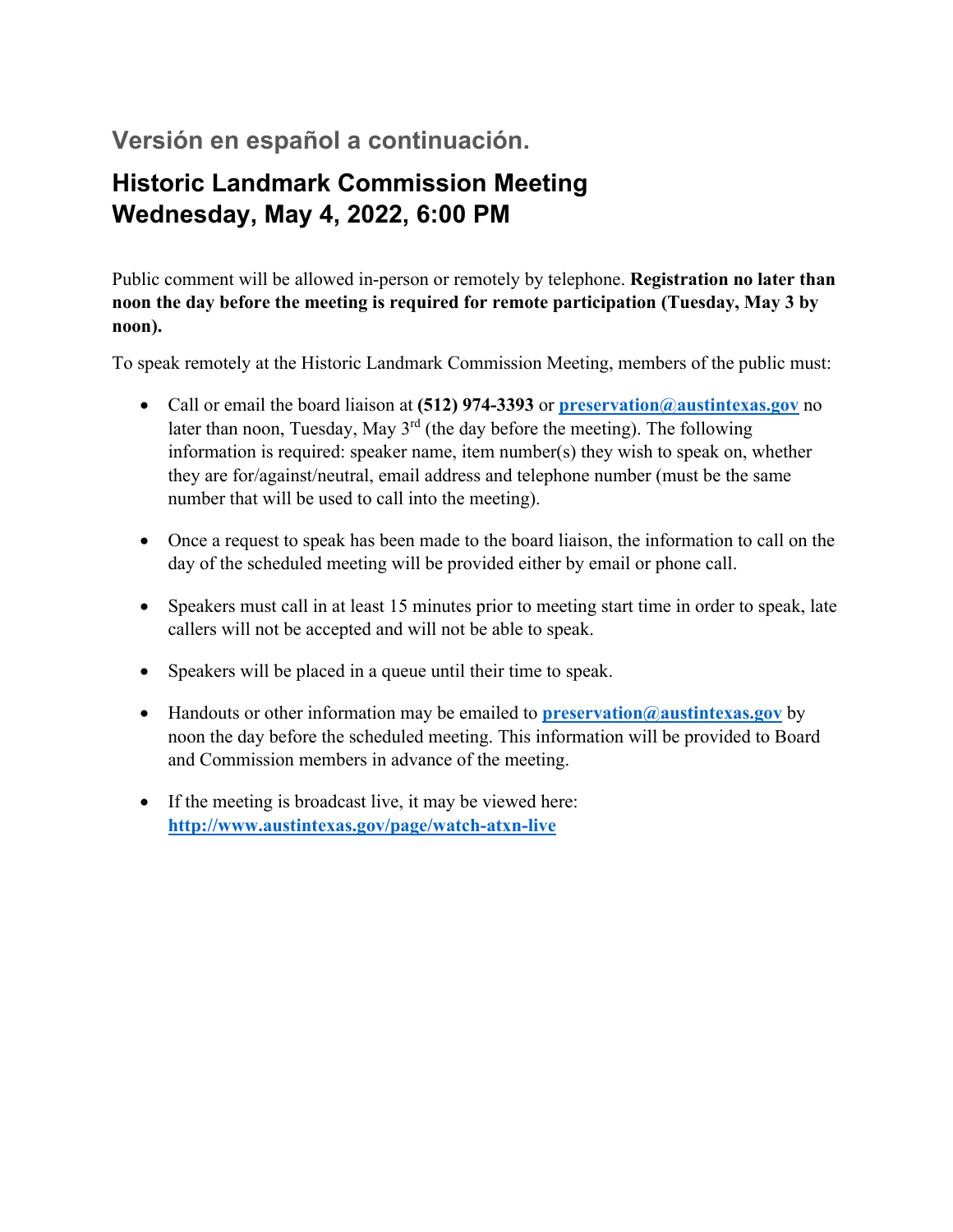# **Versión en español a continuación.**

# **Historic Landmark Commission Meeting Wednesday, May 4, 2022, 6:00 PM**

Public comment will be allowed in-person or remotely by telephone. **Registration no later than noon the day before the meeting is required for remote participation (Tuesday, May 3 by noon).**

To speak remotely at the Historic Landmark Commission Meeting, members of the public must:

- Call or email the board liaison at **(512) 974-3393** or **preservation@austintexas.gov** no later than noon, Tuesday, May  $3<sup>rd</sup>$  (the day before the meeting). The following information is required: speaker name, item number(s) they wish to speak on, whether they are for/against/neutral, email address and telephone number (must be the same number that will be used to call into the meeting).
- Once a request to speak has been made to the board liaison, the information to call on the day of the scheduled meeting will be provided either by email or phone call.
- Speakers must call in at least 15 minutes prior to meeting start time in order to speak, late callers will not be accepted and will not be able to speak.
- Speakers will be placed in a queue until their time to speak.
- Handouts or other information may be emailed to **preservation@austintexas.gov** by noon the day before the scheduled meeting. This information will be provided to Board and Commission members in advance of the meeting.
- If the meeting is broadcast live, it may be viewed here: **http://www.austintexas.gov/page/watch-atxn-live**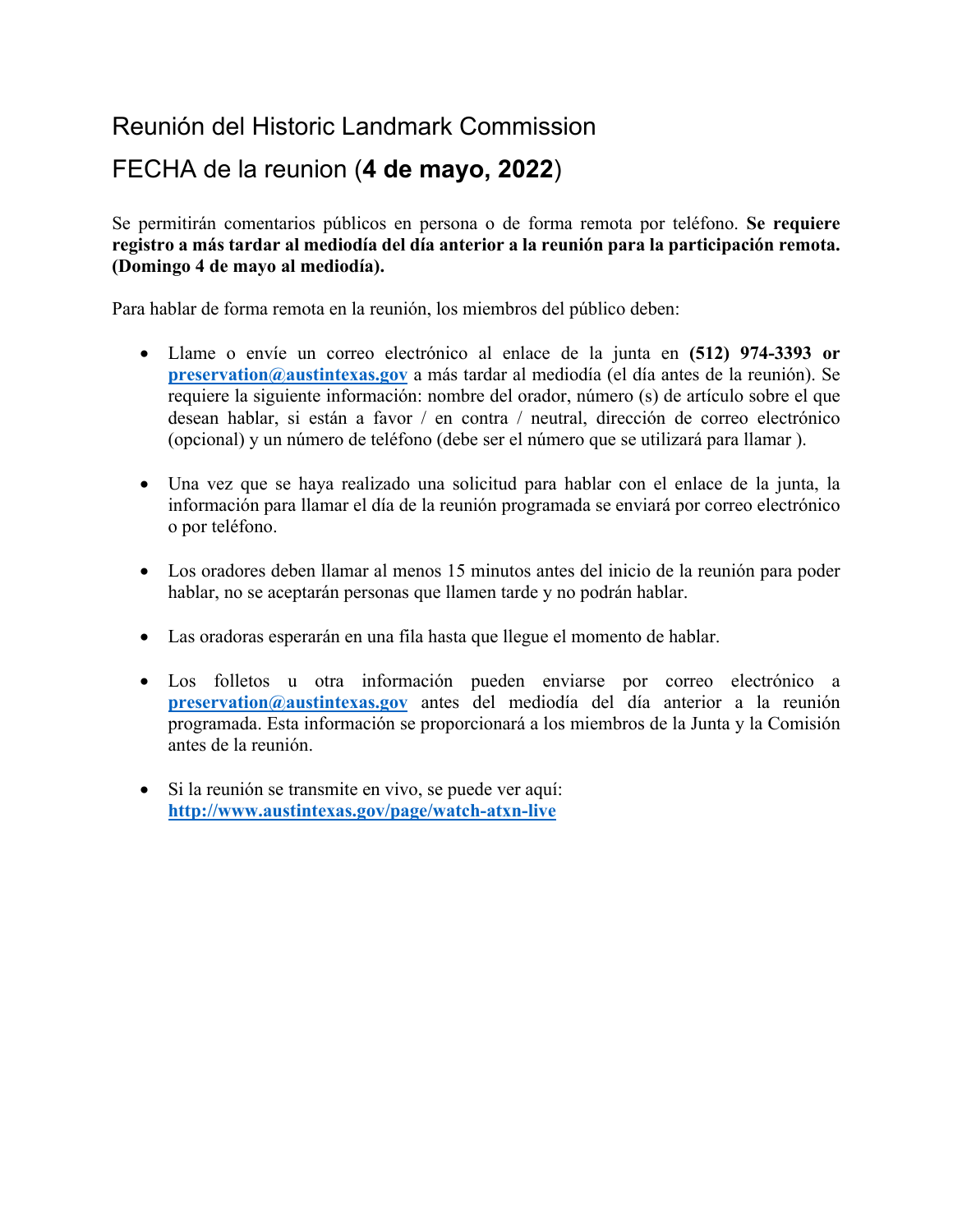# Reunión del Historic Landmark Commission

# FECHA de la reunion (**4 de mayo, 2022**)

Se permitirán comentarios públicos en persona o de forma remota por teléfono. **Se requiere registro a más tardar al mediodía del día anterior a la reunión para la participación remota. (Domingo 4 de mayo al mediodía).** 

Para hablar de forma remota en la reunión, los miembros del público deben:

- Llame o envíe un correo electrónico al enlace de la junta en **(512) 974-3393 or preservation@austintexas.gov** a más tardar al mediodía (el día antes de la reunión). Se requiere la siguiente información: nombre del orador, número (s) de artículo sobre el que desean hablar, si están a favor / en contra / neutral, dirección de correo electrónico (opcional) y un número de teléfono (debe ser el número que se utilizará para llamar ).
- Una vez que se haya realizado una solicitud para hablar con el enlace de la junta, la información para llamar el día de la reunión programada se enviará por correo electrónico o por teléfono.
- Los oradores deben llamar al menos 15 minutos antes del inicio de la reunión para poder hablar, no se aceptarán personas que llamen tarde y no podrán hablar.
- Las oradoras esperarán en una fila hasta que llegue el momento de hablar.
- Los folletos u otra información pueden enviarse por correo electrónico a **preservation@austintexas.gov** antes del mediodía del día anterior a la reunión programada. Esta información se proporcionará a los miembros de la Junta y la Comisión antes de la reunión.
- Si la reunión se transmite en vivo, se puede ver aquí: **http://www.austintexas.gov/page/watch-atxn-live**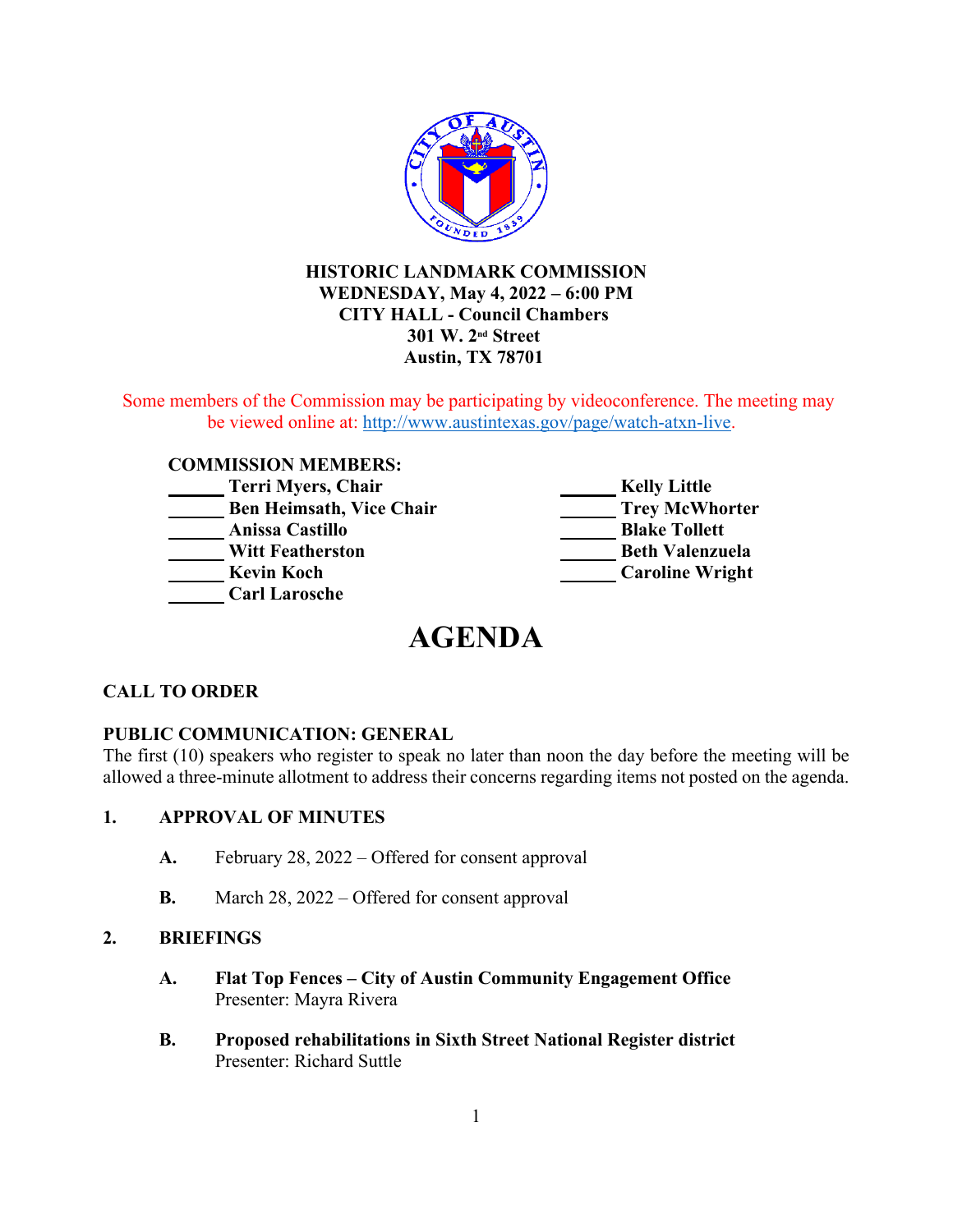

## **HISTORIC LANDMARK COMMISSION WEDNESDAY, May 4, 2022 – 6:00 PM CITY HALL - Council Chambers 301 W. 2nd Street Austin, TX 78701**

Some members of the Commission may be participating by videoconference. The meeting may be viewed online at: http://www.austintexas.gov/page/watch-atxn-live.

#### **COMMISSION MEMBERS:**

| Terri Myers, Chair              | <b>Kelly Little</b>    |
|---------------------------------|------------------------|
| <b>Ben Heimsath, Vice Chair</b> | <b>Trey McWhorter</b>  |
| <b>Anissa Castillo</b>          | <b>Blake Tollett</b>   |
| <b>Witt Featherston</b>         | <b>Beth Valenzuela</b> |
| <b>Kevin Koch</b>               | <b>Caroline Wright</b> |
| <b>Carl Larosche</b>            |                        |

# **AGENDA**

## **CALL TO ORDER**

#### **PUBLIC COMMUNICATION: GENERAL**

The first (10) speakers who register to speak no later than noon the day before the meeting will be allowed a three-minute allotment to address their concerns regarding items not posted on the agenda.

#### **1. APPROVAL OF MINUTES**

- **A.** February 28, 2022 Offered for consent approval
- **B.** March 28, 2022 Offered for consent approval

#### **2. BRIEFINGS**

- **A. Flat Top Fences City of Austin Community Engagement Office** Presenter: Mayra Rivera
- **B. Proposed rehabilitations in Sixth Street National Register district** Presenter: Richard Suttle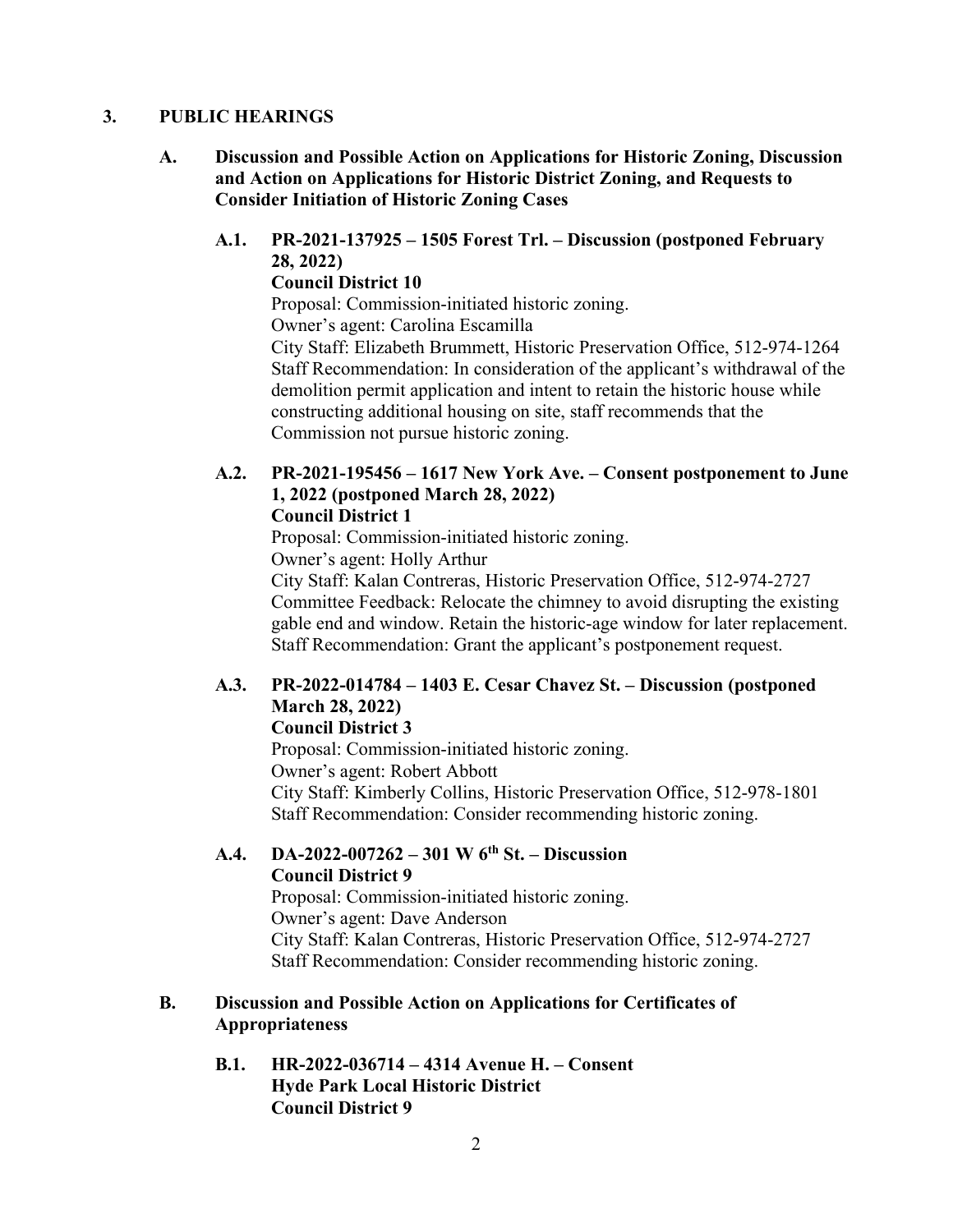## **3. PUBLIC HEARINGS**

- **A. Discussion and Possible Action on Applications for Historic Zoning, Discussion and Action on Applications for Historic District Zoning, and Requests to Consider Initiation of Historic Zoning Cases** 
	- **A.1. PR-2021-137925 1505 Forest Trl. Discussion (postponed February 28, 2022) Council District 10** Proposal: Commission-initiated historic zoning. Owner's agent: Carolina Escamilla City Staff: Elizabeth Brummett, Historic Preservation Office, 512-974-1264 Staff Recommendation: In consideration of the applicant's withdrawal of the demolition permit application and intent to retain the historic house while constructing additional housing on site, staff recommends that the Commission not pursue historic zoning.

#### **A.2. PR-2021-195456 – 1617 New York Ave. – Consent postponement to June 1, 2022 (postponed March 28, 2022) Council District 1**

Proposal: Commission-initiated historic zoning. Owner's agent: Holly Arthur

City Staff: Kalan Contreras, Historic Preservation Office, 512-974-2727 Committee Feedback: Relocate the chimney to avoid disrupting the existing gable end and window. Retain the historic-age window for later replacement. Staff Recommendation: Grant the applicant's postponement request.

## **A.3. PR-2022-014784 – 1403 E. Cesar Chavez St. – Discussion (postponed March 28, 2022)**

## **Council District 3**

Proposal: Commission-initiated historic zoning. Owner's agent: Robert Abbott City Staff: Kimberly Collins, Historic Preservation Office, 512-978-1801 Staff Recommendation: Consider recommending historic zoning.

## **A.4. DA-2022-007262 – 301 W 6th St. – Discussion Council District 9**

Proposal: Commission-initiated historic zoning. Owner's agent: Dave Anderson City Staff: Kalan Contreras, Historic Preservation Office, 512-974-2727 Staff Recommendation: Consider recommending historic zoning.

## **B. Discussion and Possible Action on Applications for Certificates of Appropriateness**

**B.1. HR-2022-036714 – 4314 Avenue H. – Consent Hyde Park Local Historic District Council District 9**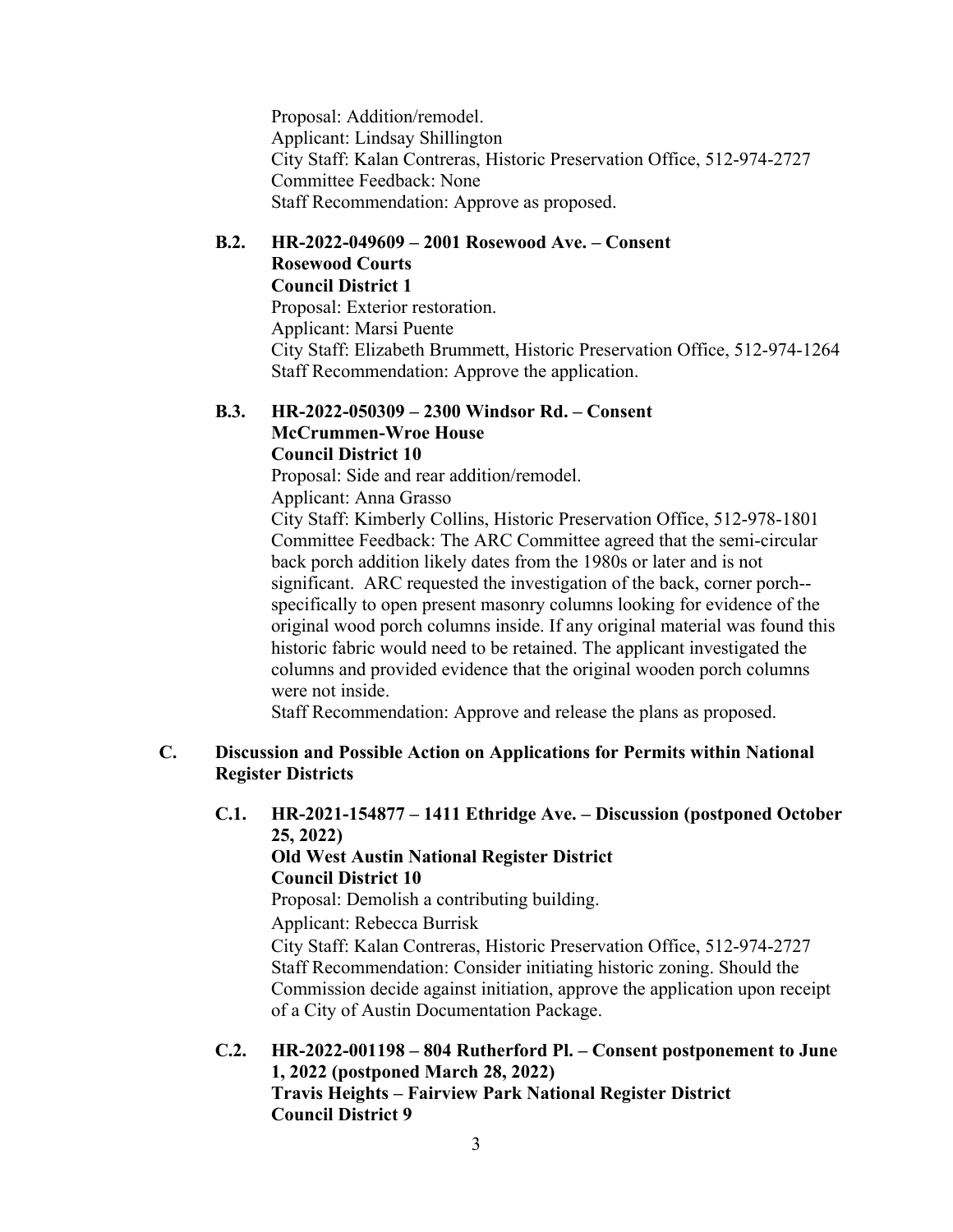Proposal: Addition/remodel. Applicant: Lindsay Shillington City Staff: Kalan Contreras, Historic Preservation Office, 512-974-2727 Committee Feedback: None Staff Recommendation: Approve as proposed.

#### **B.2. HR-2022-049609 – 2001 Rosewood Ave. – Consent Rosewood Courts Council District 1** Proposal: Exterior restoration.

Applicant: Marsi Puente City Staff: Elizabeth Brummett, Historic Preservation Office, 512-974-1264 Staff Recommendation: Approve the application.

#### **B.3. HR-2022-050309 – 2300 Windsor Rd. – Consent McCrummen-Wroe House Council District 10**

Proposal: Side and rear addition/remodel.

Applicant: Anna Grasso

City Staff: Kimberly Collins, Historic Preservation Office, 512-978-1801 Committee Feedback: The ARC Committee agreed that the semi-circular back porch addition likely dates from the 1980s or later and is not significant. ARC requested the investigation of the back, corner porch- specifically to open present masonry columns looking for evidence of the original wood porch columns inside. If any original material was found this historic fabric would need to be retained. The applicant investigated the columns and provided evidence that the original wooden porch columns were not inside.

Staff Recommendation: Approve and release the plans as proposed.

### **C. Discussion and Possible Action on Applications for Permits within National Register Districts**

**C.1. HR-2021-154877 – 1411 Ethridge Ave. – Discussion (postponed October 25, 2022)** 

## **Old West Austin National Register District Council District 10**

Proposal: Demolish a contributing building.

Applicant: Rebecca Burrisk

City Staff: Kalan Contreras, Historic Preservation Office, 512-974-2727 Staff Recommendation: Consider initiating historic zoning. Should the Commission decide against initiation, approve the application upon receipt of a City of Austin Documentation Package.

**C.2. HR-2022-001198 – 804 Rutherford Pl. – Consent postponement to June 1, 2022 (postponed March 28, 2022) Travis Heights – Fairview Park National Register District Council District 9**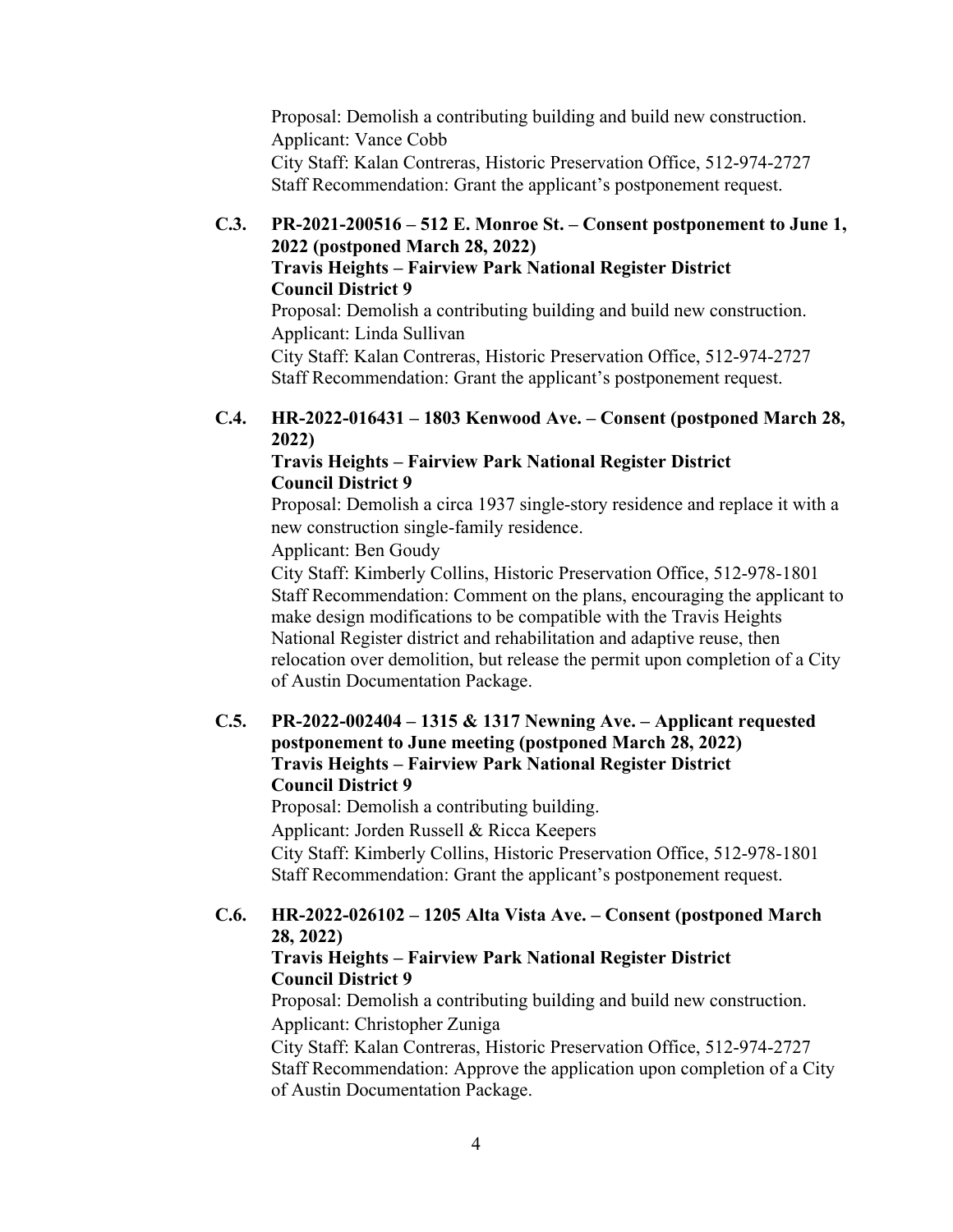Proposal: Demolish a contributing building and build new construction. Applicant: Vance Cobb City Staff: Kalan Contreras, Historic Preservation Office, 512-974-2727 Staff Recommendation: Grant the applicant's postponement request.

#### **C.3. PR-2021-200516 – 512 E. Monroe St. – Consent postponement to June 1, 2022 (postponed March 28, 2022) Travis Heights – Fairview Park National Register District Council District 9**

Proposal: Demolish a contributing building and build new construction. Applicant: Linda Sullivan

City Staff: Kalan Contreras, Historic Preservation Office, 512-974-2727 Staff Recommendation: Grant the applicant's postponement request.

## **C.4. HR-2022-016431 – 1803 Kenwood Ave. – Consent (postponed March 28, 2022)**

## **Travis Heights – Fairview Park National Register District Council District 9**

Proposal: Demolish a circa 1937 single-story residence and replace it with a new construction single-family residence.

Applicant: Ben Goudy

City Staff: Kimberly Collins, Historic Preservation Office, 512-978-1801 Staff Recommendation: Comment on the plans, encouraging the applicant to make design modifications to be compatible with the Travis Heights National Register district and rehabilitation and adaptive reuse, then relocation over demolition, but release the permit upon completion of a City of Austin Documentation Package.

## **C.5. PR-2022-002404 – 1315 & 1317 Newning Ave. – Applicant requested postponement to June meeting (postponed March 28, 2022) Travis Heights – Fairview Park National Register District Council District 9**

Proposal: Demolish a contributing building. Applicant: Jorden Russell & Ricca Keepers City Staff: Kimberly Collins, Historic Preservation Office, 512-978-1801 Staff Recommendation: Grant the applicant's postponement request.

## **C.6. HR-2022-026102 – 1205 Alta Vista Ave. – Consent (postponed March 28, 2022)**

## **Travis Heights – Fairview Park National Register District Council District 9**

Proposal: Demolish a contributing building and build new construction. Applicant: Christopher Zuniga

City Staff: Kalan Contreras, Historic Preservation Office, 512-974-2727 Staff Recommendation: Approve the application upon completion of a City of Austin Documentation Package.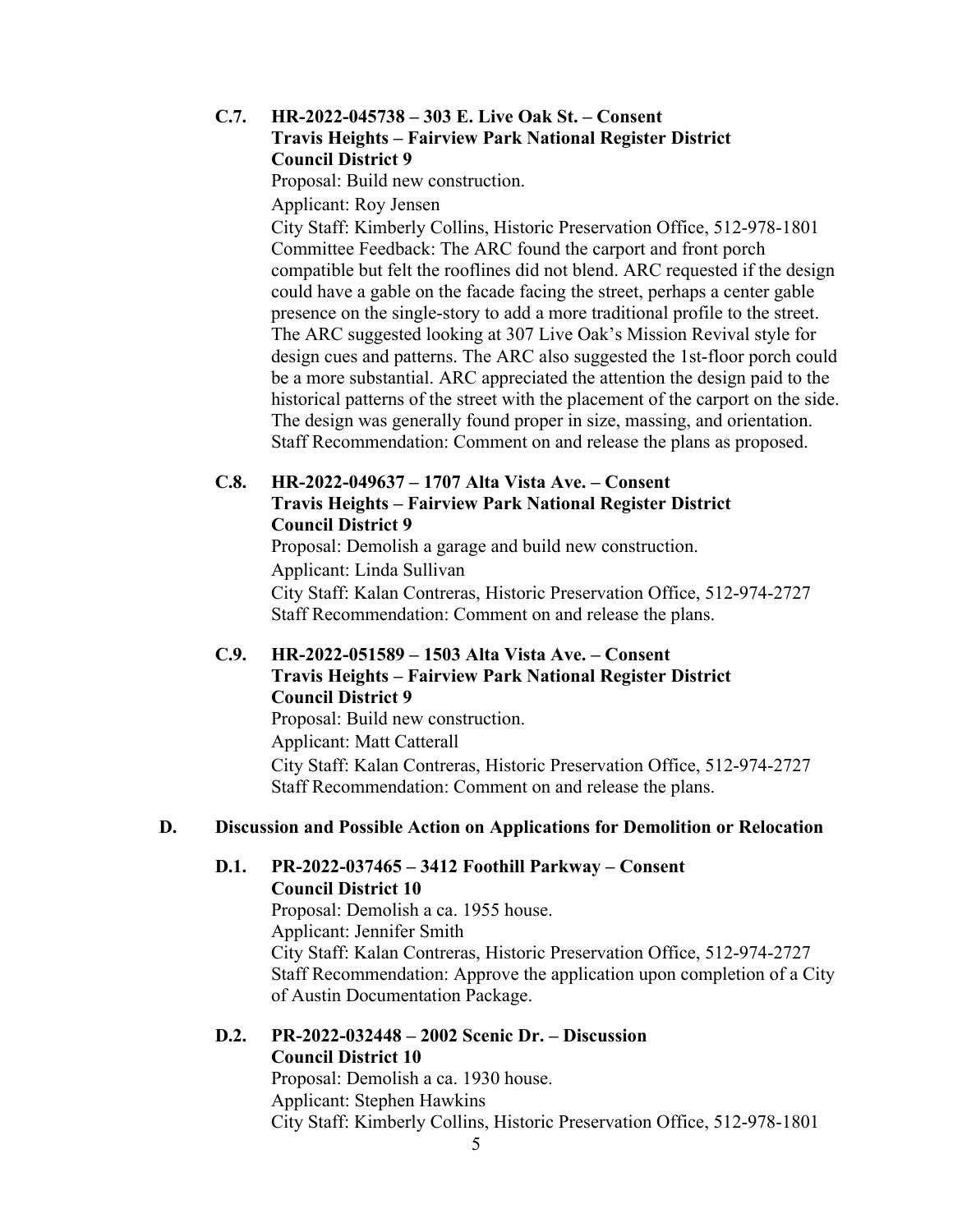### **C.7. HR-2022-045738 – 303 E. Live Oak St. – Consent Travis Heights – Fairview Park National Register District Council District 9**

Proposal: Build new construction.

Applicant: Roy Jensen

City Staff: Kimberly Collins, Historic Preservation Office, 512-978-1801 Committee Feedback: The ARC found the carport and front porch compatible but felt the rooflines did not blend. ARC requested if the design could have a gable on the facade facing the street, perhaps a center gable presence on the single-story to add a more traditional profile to the street. The ARC suggested looking at 307 Live Oak's Mission Revival style for design cues and patterns. The ARC also suggested the 1st-floor porch could be a more substantial. ARC appreciated the attention the design paid to the historical patterns of the street with the placement of the carport on the side. The design was generally found proper in size, massing, and orientation. Staff Recommendation: Comment on and release the plans as proposed.

## **C.8. HR-2022-049637 – 1707 Alta Vista Ave. – Consent Travis Heights – Fairview Park National Register District Council District 9**

Proposal: Demolish a garage and build new construction. Applicant: Linda Sullivan City Staff: Kalan Contreras, Historic Preservation Office, 512-974-2727 Staff Recommendation: Comment on and release the plans.

## **C.9. HR-2022-051589 – 1503 Alta Vista Ave. – Consent Travis Heights – Fairview Park National Register District Council District 9**

Proposal: Build new construction. Applicant: Matt Catterall City Staff: Kalan Contreras, Historic Preservation Office, 512-974-2727 Staff Recommendation: Comment on and release the plans.

#### **D. Discussion and Possible Action on Applications for Demolition or Relocation**

#### **D.1. PR-2022-037465 – 3412 Foothill Parkway – Consent Council District 10**

Proposal: Demolish a ca. 1955 house. Applicant: Jennifer Smith City Staff: Kalan Contreras, Historic Preservation Office, 512-974-2727 Staff Recommendation: Approve the application upon completion of a City of Austin Documentation Package.

## **D.2. PR-2022-032448 – 2002 Scenic Dr. – Discussion Council District 10**

Proposal: Demolish a ca. 1930 house. Applicant: Stephen Hawkins City Staff: Kimberly Collins, Historic Preservation Office, 512-978-1801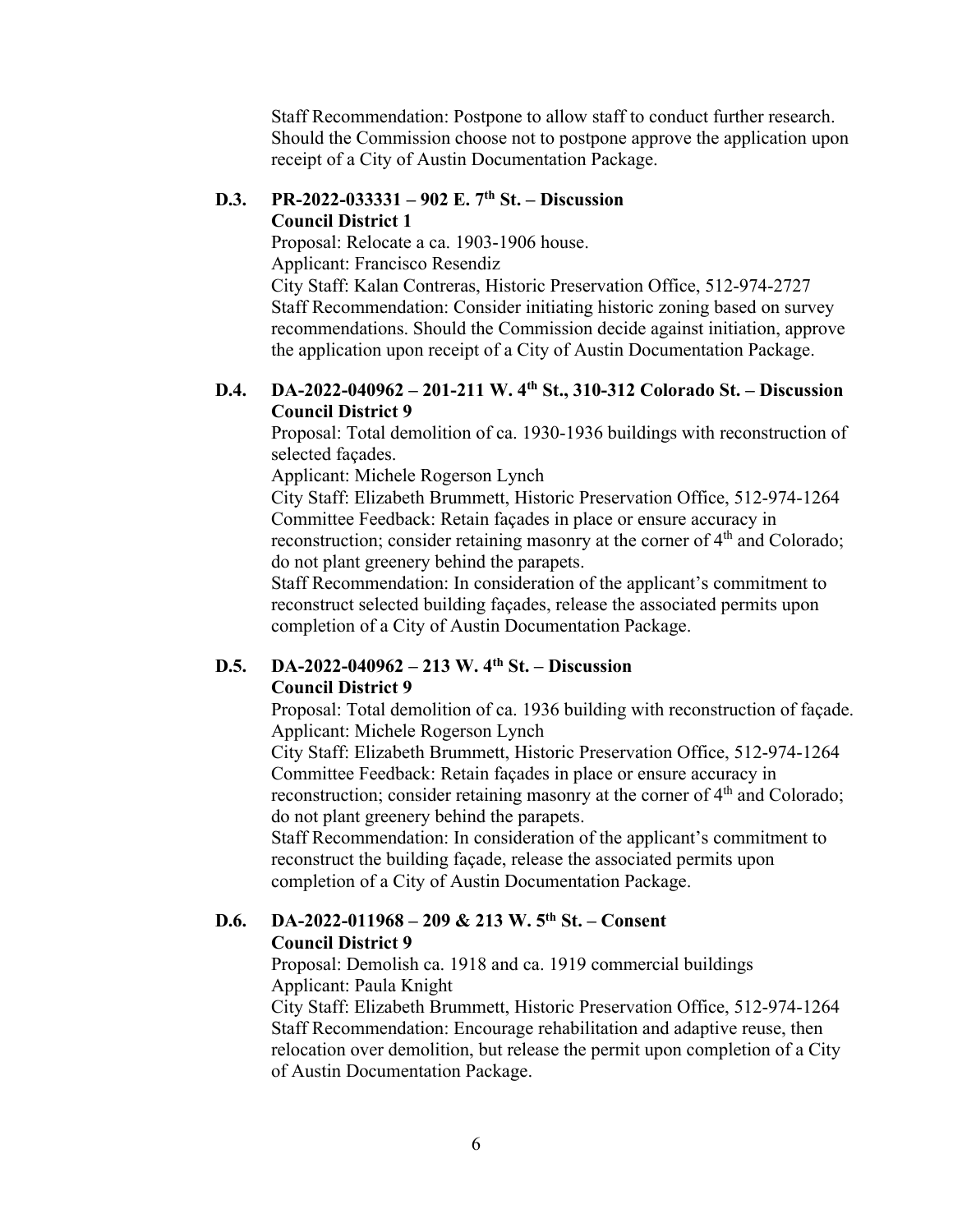Staff Recommendation: Postpone to allow staff to conduct further research. Should the Commission choose not to postpone approve the application upon receipt of a City of Austin Documentation Package.

#### **D.3. PR-2022-033331 – 902 E. 7th St. – Discussion Council District 1**

Proposal: Relocate a ca. 1903-1906 house. Applicant: Francisco Resendiz City Staff: Kalan Contreras, Historic Preservation Office, 512-974-2727 Staff Recommendation: Consider initiating historic zoning based on survey recommendations. Should the Commission decide against initiation, approve the application upon receipt of a City of Austin Documentation Package.

## **D.4. DA-2022-040962 – 201-211 W. 4th St., 310-312 Colorado St. – Discussion Council District 9**

Proposal: Total demolition of ca. 1930-1936 buildings with reconstruction of selected façades.

Applicant: Michele Rogerson Lynch

City Staff: Elizabeth Brummett, Historic Preservation Office, 512-974-1264 Committee Feedback: Retain façades in place or ensure accuracy in reconstruction; consider retaining masonry at the corner of  $4<sup>th</sup>$  and Colorado; do not plant greenery behind the parapets.

Staff Recommendation: In consideration of the applicant's commitment to reconstruct selected building façades, release the associated permits upon completion of a City of Austin Documentation Package.

#### **D.5. DA-2022-040962 – 213 W. 4th St. – Discussion Council District 9**

Proposal: Total demolition of ca. 1936 building with reconstruction of façade. Applicant: Michele Rogerson Lynch

City Staff: Elizabeth Brummett, Historic Preservation Office, 512-974-1264 Committee Feedback: Retain façades in place or ensure accuracy in reconstruction; consider retaining masonry at the corner of  $4<sup>th</sup>$  and Colorado; do not plant greenery behind the parapets.

Staff Recommendation: In consideration of the applicant's commitment to reconstruct the building façade, release the associated permits upon completion of a City of Austin Documentation Package.

#### **D.6. DA-2022-011968 – 209 & 213 W. 5th St. – Consent Council District 9**

Proposal: Demolish ca. 1918 and ca. 1919 commercial buildings Applicant: Paula Knight

City Staff: Elizabeth Brummett, Historic Preservation Office, 512-974-1264 Staff Recommendation: Encourage rehabilitation and adaptive reuse, then relocation over demolition, but release the permit upon completion of a City of Austin Documentation Package.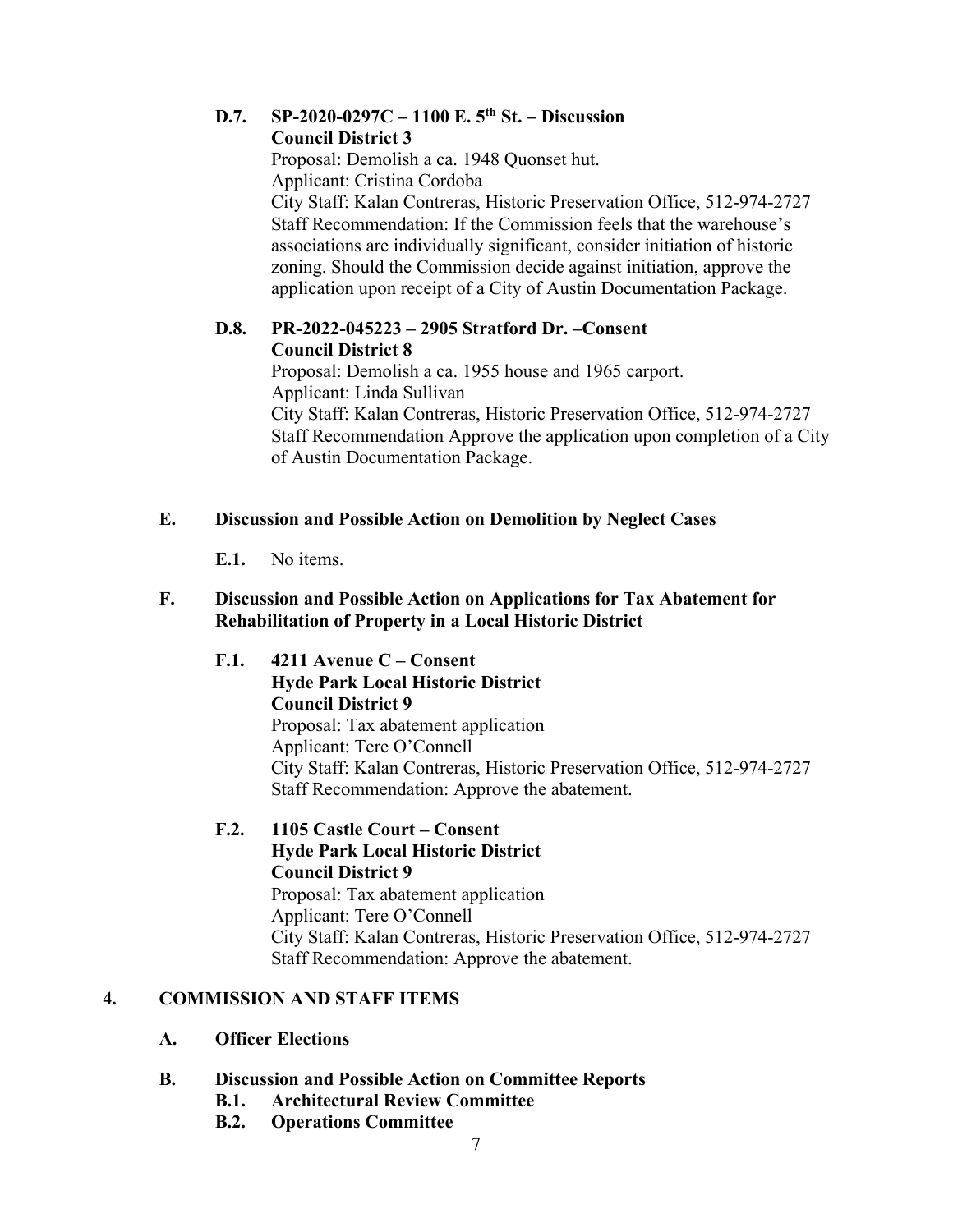#### **D.7. SP-2020-0297C – 1100 E. 5th St. – Discussion Council District 3**

Proposal: Demolish a ca. 1948 Quonset hut. Applicant: Cristina Cordoba City Staff: Kalan Contreras, Historic Preservation Office, 512-974-2727 Staff Recommendation: If the Commission feels that the warehouse's associations are individually significant, consider initiation of historic zoning. Should the Commission decide against initiation, approve the application upon receipt of a City of Austin Documentation Package.

## **D.8. PR-2022-045223 – 2905 Stratford Dr. –Consent Council District 8**

Proposal: Demolish a ca. 1955 house and 1965 carport. Applicant: Linda Sullivan City Staff: Kalan Contreras, Historic Preservation Office, 512-974-2727 Staff Recommendation Approve the application upon completion of a City of Austin Documentation Package.

## **E. Discussion and Possible Action on Demolition by Neglect Cases**

**E.1.** No items.

## **F. Discussion and Possible Action on Applications for Tax Abatement for Rehabilitation of Property in a Local Historic District**

**F.1. 4211 Avenue C – Consent Hyde Park Local Historic District Council District 9**  Proposal: Tax abatement application Applicant: Tere O'Connell City Staff: Kalan Contreras, Historic Preservation Office, 512-974-2727 Staff Recommendation: Approve the abatement.

## **F.2. 1105 Castle Court – Consent Hyde Park Local Historic District Council District 9**  Proposal: Tax abatement application Applicant: Tere O'Connell City Staff: Kalan Contreras, Historic Preservation Office, 512-974-2727 Staff Recommendation: Approve the abatement.

## **4. COMMISSION AND STAFF ITEMS**

- **A. Officer Elections**
- **B. Discussion and Possible Action on Committee Reports** 
	- **B.1. Architectural Review Committee**
	- **B.2. Operations Committee**